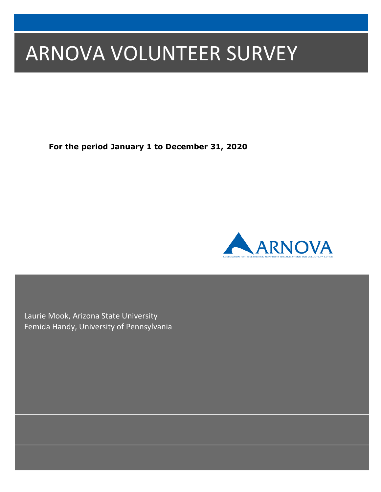# ARNOVA VOLUNTEER SURVEY

**For the period January 1 to December 31, 2020**



Laurie Mook, Arizona State University Femida Handy, University of Pennsylvania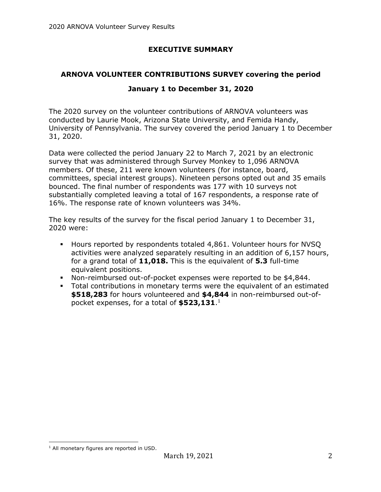## **EXECUTIVE SUMMARY**

# **ARNOVA VOLUNTEER CONTRIBUTIONS SURVEY covering the period**

### **January 1 to December 31, 2020**

The 2020 survey on the volunteer contributions of ARNOVA volunteers was conducted by Laurie Mook, Arizona State University, and Femida Handy, University of Pennsylvania. The survey covered the period January 1 to December 31, 2020.

Data were collected the period January 22 to March 7, 2021 by an electronic survey that was administered through Survey Monkey to 1,096 ARNOVA members. Of these, 211 were known volunteers (for instance, board, committees, special interest groups). Nineteen persons opted out and 35 emails bounced. The final number of respondents was 177 with 10 surveys not substantially completed leaving a total of 167 respondents, a response rate of 16%. The response rate of known volunteers was 34%.

The key results of the survey for the fiscal period January 1 to December 31, 2020 were:

- § Hours reported by respondents totaled 4,861. Volunteer hours for NVSQ activities were analyzed separately resulting in an addition of 6,157 hours, for a grand total of **11,018.** This is the equivalent of **5.3** full-time equivalent positions.
- § Non-reimbursed out-of-pocket expenses were reported to be \$4,844.
- § Total contributions in monetary terms were the equivalent of an estimated **\$518,283** for hours volunteered and **\$4,844** in non-reimbursed out-ofpocket expenses, for a total of **\$523,131**. 1

<sup>&</sup>lt;sup>1</sup> All monetary figures are reported in USD.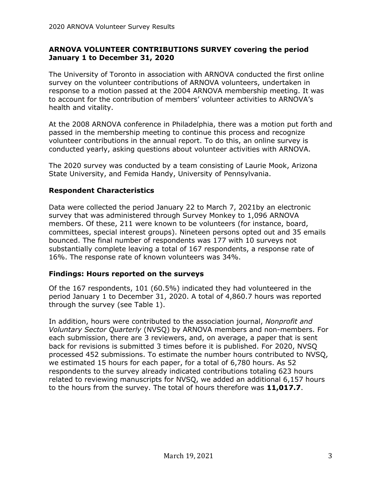#### **ARNOVA VOLUNTEER CONTRIBUTIONS SURVEY covering the period January 1 to December 31, 2020**

The University of Toronto in association with ARNOVA conducted the first online survey on the volunteer contributions of ARNOVA volunteers, undertaken in response to a motion passed at the 2004 ARNOVA membership meeting. It was to account for the contribution of members' volunteer activities to ARNOVA's health and vitality.

At the 2008 ARNOVA conference in Philadelphia, there was a motion put forth and passed in the membership meeting to continue this process and recognize volunteer contributions in the annual report. To do this, an online survey is conducted yearly, asking questions about volunteer activities with ARNOVA.

The 2020 survey was conducted by a team consisting of Laurie Mook, Arizona State University, and Femida Handy, University of Pennsylvania.

#### **Respondent Characteristics**

Data were collected the period January 22 to March 7, 2021by an electronic survey that was administered through Survey Monkey to 1,096 ARNOVA members. Of these, 211 were known to be volunteers (for instance, board, committees, special interest groups). Nineteen persons opted out and 35 emails bounced. The final number of respondents was 177 with 10 surveys not substantially complete leaving a total of 167 respondents, a response rate of 16%. The response rate of known volunteers was 34%.

#### **Findings: Hours reported on the surveys**

Of the 167 respondents, 101 (60.5%) indicated they had volunteered in the period January 1 to December 31, 2020. A total of 4,860.7 hours was reported through the survey (see Table 1).

In addition, hours were contributed to the association journal, *Nonprofit and Voluntary Sector Quarterly* (NVSQ) by ARNOVA members and non-members. For each submission, there are 3 reviewers, and, on average, a paper that is sent back for revisions is submitted 3 times before it is published. For 2020, NVSQ processed 452 submissions. To estimate the number hours contributed to NVSQ, we estimated 15 hours for each paper, for a total of 6,780 hours. As 52 respondents to the survey already indicated contributions totaling 623 hours related to reviewing manuscripts for NVSQ, we added an additional 6,157 hours to the hours from the survey. The total of hours therefore was **11,017.7**.